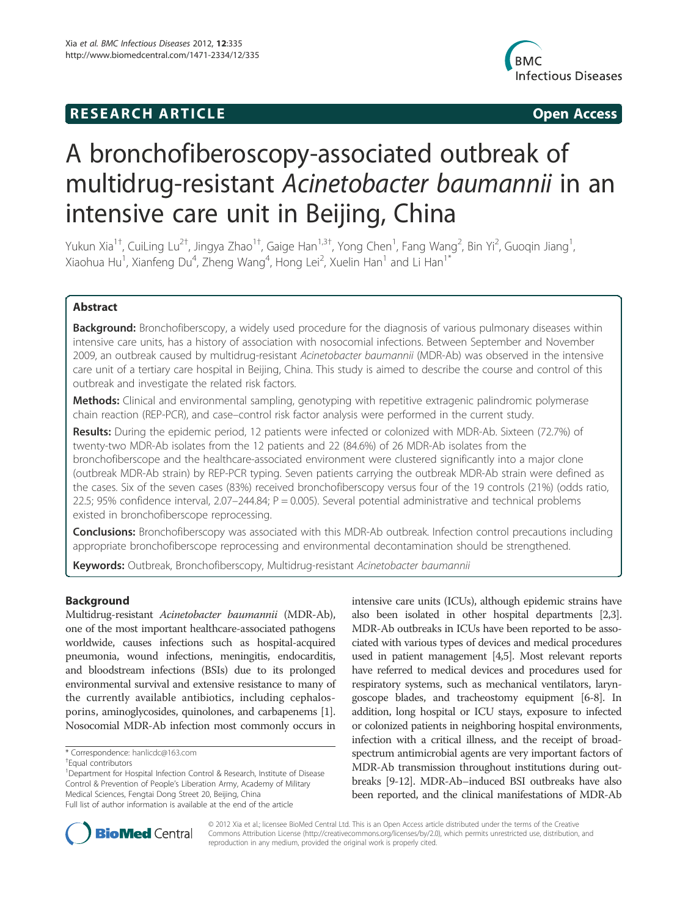# **RESEARCH ARTICLE Example 2018 12:00 Open Access**



# A bronchofiberoscopy-associated outbreak of multidrug-resistant Acinetobacter baumannii in an intensive care unit in Beijing, China

Yukun Xia<sup>1†</sup>, CuiLing Lu<sup>2†</sup>, Jingya Zhao<sup>1†</sup>, Gaige Han<sup>1,3†</sup>, Yong Chen<sup>1</sup>, Fang Wang<sup>2</sup>, Bin Yi<sup>2</sup>, Guoqin Jiang<sup>1</sup> , Xiaohua Hu $^1$ , Xianfeng Du $^4$ , Zheng Wang $^4$ , Hong Lei $^2$ , Xuelin Han $^1$  and Li Han $^{1\ast}$ 

# Abstract

Background: Bronchofiberscopy, a widely used procedure for the diagnosis of various pulmonary diseases within intensive care units, has a history of association with nosocomial infections. Between September and November 2009, an outbreak caused by multidrug-resistant Acinetobacter baumannii (MDR-Ab) was observed in the intensive care unit of a tertiary care hospital in Beijing, China. This study is aimed to describe the course and control of this outbreak and investigate the related risk factors.

Methods: Clinical and environmental sampling, genotyping with repetitive extragenic palindromic polymerase chain reaction (REP-PCR), and case–control risk factor analysis were performed in the current study.

Results: During the epidemic period, 12 patients were infected or colonized with MDR-Ab. Sixteen (72.7%) of twenty-two MDR-Ab isolates from the 12 patients and 22 (84.6%) of 26 MDR-Ab isolates from the bronchofiberscope and the healthcare-associated environment were clustered significantly into a major clone (outbreak MDR-Ab strain) by REP-PCR typing. Seven patients carrying the outbreak MDR-Ab strain were defined as the cases. Six of the seven cases (83%) received bronchofiberscopy versus four of the 19 controls (21%) (odds ratio, 22.5; 95% confidence interval, 2.07–244.84; P = 0.005). Several potential administrative and technical problems existed in bronchofiberscope reprocessing.

Conclusions: Bronchofiberscopy was associated with this MDR-Ab outbreak. Infection control precautions including appropriate bronchofiberscope reprocessing and environmental decontamination should be strengthened.

Keywords: Outbreak, Bronchofiberscopy, Multidrug-resistant Acinetobacter baumannii

# Background

Multidrug-resistant Acinetobacter baumannii (MDR-Ab), one of the most important healthcare-associated pathogens worldwide, causes infections such as hospital-acquired pneumonia, wound infections, meningitis, endocarditis, and bloodstream infections (BSIs) due to its prolonged environmental survival and extensive resistance to many of the currently available antibiotics, including cephalosporins, aminoglycosides, quinolones, and carbapenems [1]. Nosocomial MDR-Ab infection most commonly occurs in

<sup>1</sup>Department for Hospital Infection Control & Research, Institute of Disease Control & Prevention of People's Liberation Army, Academy of Military Medical Sciences, Fengtai Dong Street 20, Beijing, China Full list of author information is available at the end of the article

intensive care units (ICUs), although epidemic strains have also been isolated in other hospital departments [2,3]. MDR-Ab outbreaks in ICUs have been reported to be associated with various types of devices and medical procedures used in patient management [4,5]. Most relevant reports have referred to medical devices and procedures used for respiratory systems, such as mechanical ventilators, laryngoscope blades, and tracheostomy equipment [6-8]. In addition, long hospital or ICU stays, exposure to infected or colonized patients in neighboring hospital environments, infection with a critical illness, and the receipt of broadspectrum antimicrobial agents are very important factors of MDR-Ab transmission throughout institutions during outbreaks [9-12]. MDR-Ab–induced BSI outbreaks have also been reported, and the clinical manifestations of MDR-Ab



© 2012 Xia et al.; licensee BioMed Central Ltd. This is an Open Access article distributed under the terms of the Creative Commons Attribution License (http://creativecommons.org/licenses/by/2.0), which permits unrestricted use, distribution, and reproduction in any medium, provided the original work is properly cited.

<sup>\*</sup> Correspondence: hanlicdc@163.com †

Equal contributors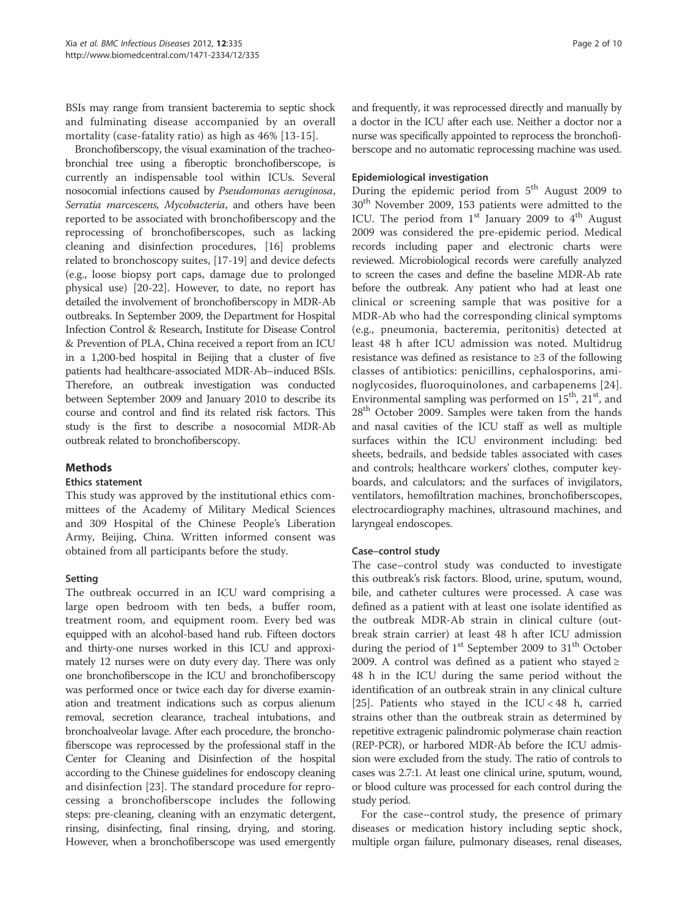BSIs may range from transient bacteremia to septic shock and fulminating disease accompanied by an overall mortality (case-fatality ratio) as high as 46% [13-15].

Bronchofiberscopy, the visual examination of the tracheobronchial tree using a fiberoptic bronchofiberscope, is currently an indispensable tool within ICUs. Several nosocomial infections caused by Pseudomonas aeruginosa, Serratia marcescens, Mycobacteria, and others have been reported to be associated with bronchofiberscopy and the reprocessing of bronchofiberscopes, such as lacking cleaning and disinfection procedures, [16] problems related to bronchoscopy suites, [17-19] and device defects (e.g., loose biopsy port caps, damage due to prolonged physical use) [20-22]. However, to date, no report has detailed the involvement of bronchofiberscopy in MDR-Ab outbreaks. In September 2009, the Department for Hospital Infection Control & Research, Institute for Disease Control & Prevention of PLA, China received a report from an ICU in a 1,200-bed hospital in Beijing that a cluster of five patients had healthcare-associated MDR-Ab–induced BSIs. Therefore, an outbreak investigation was conducted between September 2009 and January 2010 to describe its course and control and find its related risk factors. This study is the first to describe a nosocomial MDR-Ab outbreak related to bronchofiberscopy.

# Methods

# Ethics statement

This study was approved by the institutional ethics committees of the Academy of Military Medical Sciences and 309 Hospital of the Chinese People's Liberation Army, Beijing, China. Written informed consent was obtained from all participants before the study.

# Setting

The outbreak occurred in an ICU ward comprising a large open bedroom with ten beds, a buffer room, treatment room, and equipment room. Every bed was equipped with an alcohol-based hand rub. Fifteen doctors and thirty-one nurses worked in this ICU and approximately 12 nurses were on duty every day. There was only one bronchofiberscope in the ICU and bronchofiberscopy was performed once or twice each day for diverse examination and treatment indications such as corpus alienum removal, secretion clearance, tracheal intubations, and bronchoalveolar lavage. After each procedure, the bronchofiberscope was reprocessed by the professional staff in the Center for Cleaning and Disinfection of the hospital according to the Chinese guidelines for endoscopy cleaning and disinfection [23]. The standard procedure for reprocessing a bronchofiberscope includes the following steps: pre-cleaning, cleaning with an enzymatic detergent, rinsing, disinfecting, final rinsing, drying, and storing. However, when a bronchofiberscope was used emergently and frequently, it was reprocessed directly and manually by a doctor in the ICU after each use. Neither a doctor nor a nurse was specifically appointed to reprocess the bronchofiberscope and no automatic reprocessing machine was used.

# Epidemiological investigation

During the epidemic period from 5<sup>th</sup> August 2009 to 30<sup>th</sup> November 2009, 153 patients were admitted to the ICU. The period from  $1<sup>st</sup>$  January 2009 to  $4<sup>th</sup>$  August 2009 was considered the pre-epidemic period. Medical records including paper and electronic charts were reviewed. Microbiological records were carefully analyzed to screen the cases and define the baseline MDR-Ab rate before the outbreak. Any patient who had at least one clinical or screening sample that was positive for a MDR-Ab who had the corresponding clinical symptoms (e.g., pneumonia, bacteremia, peritonitis) detected at least 48 h after ICU admission was noted. Multidrug resistance was defined as resistance to ≥3 of the following classes of antibiotics: penicillins, cephalosporins, aminoglycosides, fluoroquinolones, and carbapenems [24]. Environmental sampling was performed on  $15<sup>th</sup>$ ,  $21<sup>st</sup>$ , and 28<sup>th</sup> October 2009. Samples were taken from the hands and nasal cavities of the ICU staff as well as multiple surfaces within the ICU environment including: bed sheets, bedrails, and bedside tables associated with cases and controls; healthcare workers' clothes, computer keyboards, and calculators; and the surfaces of invigilators, ventilators, hemofiltration machines, bronchofiberscopes, electrocardiography machines, ultrasound machines, and laryngeal endoscopes.

# Case–control study

The case–control study was conducted to investigate this outbreak's risk factors. Blood, urine, sputum, wound, bile, and catheter cultures were processed. A case was defined as a patient with at least one isolate identified as the outbreak MDR-Ab strain in clinical culture (outbreak strain carrier) at least 48 h after ICU admission during the period of  $1<sup>st</sup>$  September 2009 to  $31<sup>th</sup>$  October 2009. A control was defined as a patient who stayed  $\ge$ 48 h in the ICU during the same period without the identification of an outbreak strain in any clinical culture [25]. Patients who stayed in the  $ICU < 48$  h, carried strains other than the outbreak strain as determined by repetitive extragenic palindromic polymerase chain reaction (REP-PCR), or harbored MDR-Ab before the ICU admission were excluded from the study. The ratio of controls to cases was 2.7:1. At least one clinical urine, sputum, wound, or blood culture was processed for each control during the study period.

For the case–control study, the presence of primary diseases or medication history including septic shock, multiple organ failure, pulmonary diseases, renal diseases,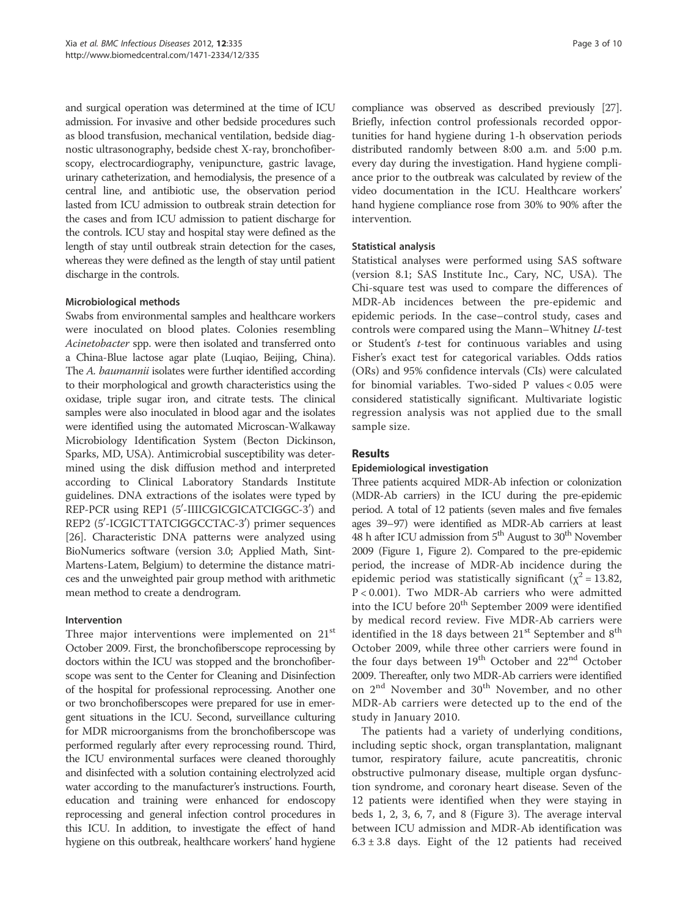and surgical operation was determined at the time of ICU admission. For invasive and other bedside procedures such as blood transfusion, mechanical ventilation, bedside diagnostic ultrasonography, bedside chest X-ray, bronchofiberscopy, electrocardiography, venipuncture, gastric lavage, urinary catheterization, and hemodialysis, the presence of a central line, and antibiotic use, the observation period lasted from ICU admission to outbreak strain detection for the cases and from ICU admission to patient discharge for the controls. ICU stay and hospital stay were defined as the length of stay until outbreak strain detection for the cases, whereas they were defined as the length of stay until patient discharge in the controls.

#### Microbiological methods

Swabs from environmental samples and healthcare workers were inoculated on blood plates. Colonies resembling Acinetobacter spp. were then isolated and transferred onto a China-Blue lactose agar plate (Luqiao, Beijing, China). The A. baumannii isolates were further identified according to their morphological and growth characteristics using the oxidase, triple sugar iron, and citrate tests. The clinical samples were also inoculated in blood agar and the isolates were identified using the automated Microscan-Walkaway Microbiology Identification System (Becton Dickinson, Sparks, MD, USA). Antimicrobial susceptibility was determined using the disk diffusion method and interpreted according to Clinical Laboratory Standards Institute guidelines. DNA extractions of the isolates were typed by REP-PCR using REP1 (5'-IIIICGICGICATCIGGC-3') and REP2 (5'-ICGICTTATCIGGCCTAC-3') primer sequences [26]. Characteristic DNA patterns were analyzed using BioNumerics software (version 3.0; Applied Math, Sint-Martens-Latem, Belgium) to determine the distance matrices and the unweighted pair group method with arithmetic mean method to create a dendrogram.

#### Intervention

Three major interventions were implemented on 21<sup>st</sup> October 2009. First, the bronchofiberscope reprocessing by doctors within the ICU was stopped and the bronchofiberscope was sent to the Center for Cleaning and Disinfection of the hospital for professional reprocessing. Another one or two bronchofiberscopes were prepared for use in emergent situations in the ICU. Second, surveillance culturing for MDR microorganisms from the bronchofiberscope was performed regularly after every reprocessing round. Third, the ICU environmental surfaces were cleaned thoroughly and disinfected with a solution containing electrolyzed acid water according to the manufacturer's instructions. Fourth, education and training were enhanced for endoscopy reprocessing and general infection control procedures in this ICU. In addition, to investigate the effect of hand hygiene on this outbreak, healthcare workers' hand hygiene

compliance was observed as described previously [27]. Briefly, infection control professionals recorded opportunities for hand hygiene during 1-h observation periods distributed randomly between 8:00 a.m. and 5:00 p.m. every day during the investigation. Hand hygiene compliance prior to the outbreak was calculated by review of the video documentation in the ICU. Healthcare workers' hand hygiene compliance rose from 30% to 90% after the intervention.

#### Statistical analysis

Statistical analyses were performed using SAS software (version 8.1; SAS Institute Inc., Cary, NC, USA). The Chi-square test was used to compare the differences of MDR-Ab incidences between the pre-epidemic and epidemic periods. In the case–control study, cases and controls were compared using the Mann–Whitney U-test or Student's t-test for continuous variables and using Fisher's exact test for categorical variables. Odds ratios (ORs) and 95% confidence intervals (CIs) were calculated for binomial variables. Two-sided P values < 0.05 were considered statistically significant. Multivariate logistic regression analysis was not applied due to the small sample size.

# Results

#### Epidemiological investigation

Three patients acquired MDR-Ab infection or colonization (MDR-Ab carriers) in the ICU during the pre-epidemic period. A total of 12 patients (seven males and five females ages 39–97) were identified as MDR-Ab carriers at least 48 h after ICU admission from  $5<sup>th</sup>$  August to  $30<sup>th</sup>$  November 2009 (Figure 1, Figure 2). Compared to the pre-epidemic period, the increase of MDR-Ab incidence during the epidemic period was statistically significant ( $\chi^2$  = 13.82, P < 0.001). Two MDR-Ab carriers who were admitted into the ICU before 20<sup>th</sup> September 2009 were identified by medical record review. Five MDR-Ab carriers were identified in the 18 days between  $21^{st}$  September and  $8^{th}$ October 2009, while three other carriers were found in the four days between 19<sup>th</sup> October and 22<sup>nd</sup> October 2009. Thereafter, only two MDR-Ab carriers were identified on 2<sup>nd</sup> November and 30<sup>th</sup> November, and no other MDR-Ab carriers were detected up to the end of the study in January 2010.

The patients had a variety of underlying conditions, including septic shock, organ transplantation, malignant tumor, respiratory failure, acute pancreatitis, chronic obstructive pulmonary disease, multiple organ dysfunction syndrome, and coronary heart disease. Seven of the 12 patients were identified when they were staying in beds 1, 2, 3, 6, 7, and 8 (Figure 3). The average interval between ICU admission and MDR-Ab identification was  $6.3 \pm 3.8$  days. Eight of the 12 patients had received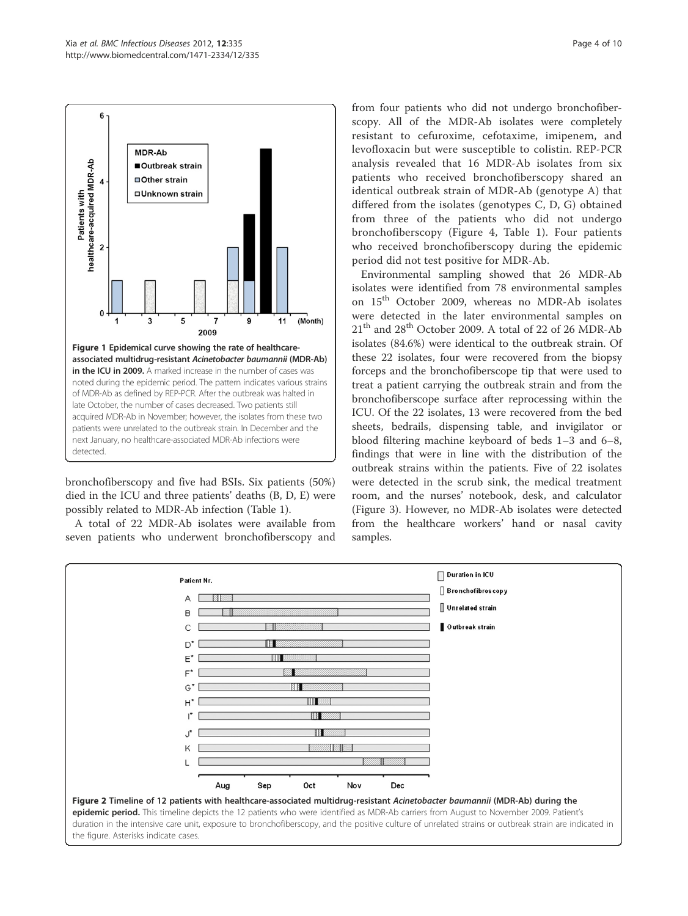

bronchofiberscopy and five had BSIs. Six patients (50%) died in the ICU and three patients' deaths (B, D, E) were possibly related to MDR-Ab infection (Table 1).

A total of 22 MDR-Ab isolates were available from seven patients who underwent bronchofiberscopy and

from four patients who did not undergo bronchofiberscopy. All of the MDR-Ab isolates were completely resistant to cefuroxime, cefotaxime, imipenem, and levofloxacin but were susceptible to colistin. REP-PCR analysis revealed that 16 MDR-Ab isolates from six patients who received bronchofiberscopy shared an identical outbreak strain of MDR-Ab (genotype A) that differed from the isolates (genotypes C, D, G) obtained from three of the patients who did not undergo bronchofiberscopy (Figure 4, Table 1). Four patients who received bronchofiberscopy during the epidemic period did not test positive for MDR-Ab.

Environmental sampling showed that 26 MDR-Ab isolates were identified from 78 environmental samples on 15<sup>th</sup> October 2009, whereas no MDR-Ab isolates were detected in the later environmental samples on  $21<sup>th</sup>$  and  $28<sup>th</sup>$  October 2009. A total of 22 of 26 MDR-Ab isolates (84.6%) were identical to the outbreak strain. Of these 22 isolates, four were recovered from the biopsy forceps and the bronchofiberscope tip that were used to treat a patient carrying the outbreak strain and from the bronchofiberscope surface after reprocessing within the ICU. Of the 22 isolates, 13 were recovered from the bed sheets, bedrails, dispensing table, and invigilator or blood filtering machine keyboard of beds 1–3 and 6–8, findings that were in line with the distribution of the outbreak strains within the patients. Five of 22 isolates were detected in the scrub sink, the medical treatment room, and the nurses' notebook, desk, and calculator (Figure 3). However, no MDR-Ab isolates were detected from the healthcare workers' hand or nasal cavity samples.

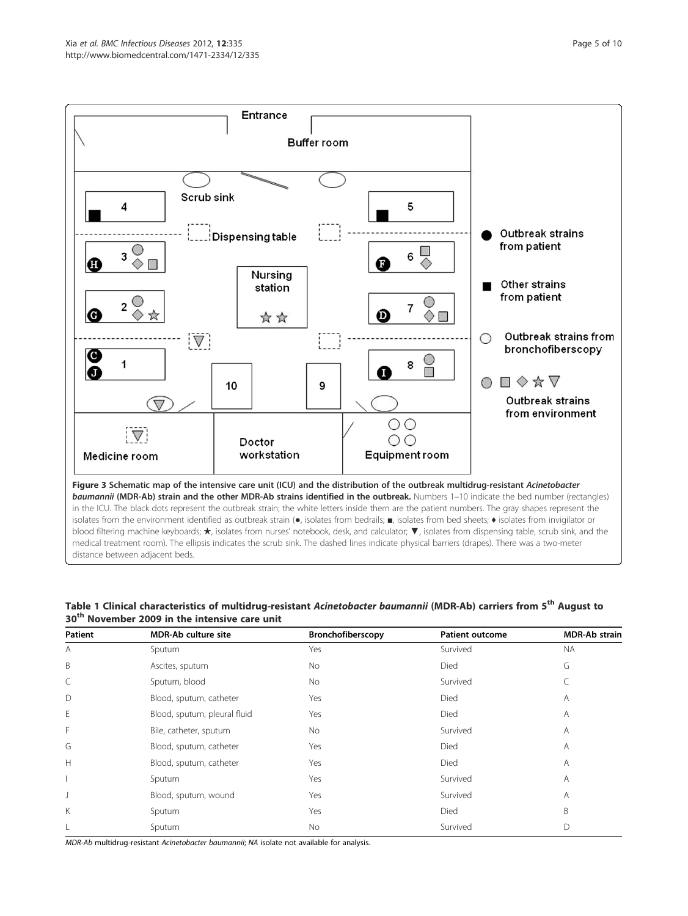

#### Table 1 Clinical characteristics of multidrug-resistant Acinetobacter baumannii (MDR-Ab) carriers from 5<sup>th</sup> August to 30<sup>th</sup> November 2009 in the intensive care unit

| Patient | <b>MDR-Ab culture site</b>   | Bronchofiberscopy | <b>Patient outcome</b> | <b>MDR-Ab strain</b> |
|---------|------------------------------|-------------------|------------------------|----------------------|
| Α       | Sputum                       | Yes               | Survived               | <b>NA</b>            |
| B       | Ascites, sputum              | No                | Died                   | G                    |
| C       | Sputum, blood                | No                | Survived               |                      |
| D       | Blood, sputum, catheter      | Yes               | Died                   | Α                    |
| E       | Blood, sputum, pleural fluid | Yes               | Died                   | A                    |
| F       | Bile, catheter, sputum       | No                | Survived               | A                    |
| G       | Blood, sputum, catheter      | Yes               | Died                   | $\overline{A}$       |
| H       | Blood, sputum, catheter      | Yes               | Died                   | $\overline{A}$       |
|         | Sputum                       | Yes               | Survived               | A                    |
| J       | Blood, sputum, wound         | Yes               | Survived               | A                    |
| K       | Sputum                       | Yes               | Died                   | B                    |
|         | Sputum                       | No                | Survived               | $\Box$               |

MDR-Ab multidrug-resistant Acinetobacter baumannii; NA isolate not available for analysis.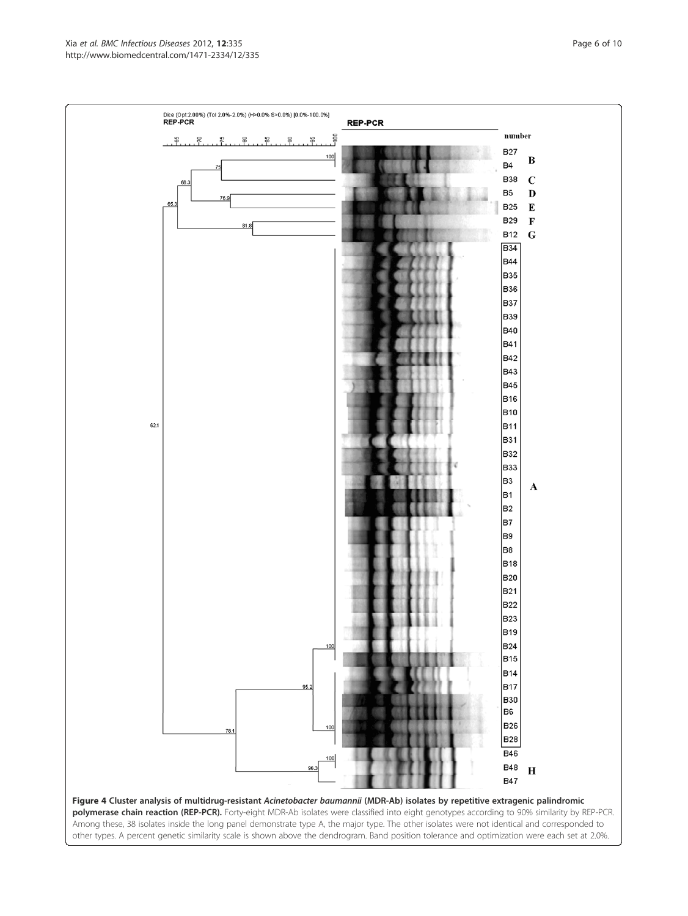#### Xia et al. BMC Infectious Diseases 2012, 12:335 Page 6 of 10 http://www.biomedcentral.com/1471-2334/12/335



other types. A percent genetic similarity scale is shown above the dendrogram. Band position tolerance and optimization were each set at 2.0%.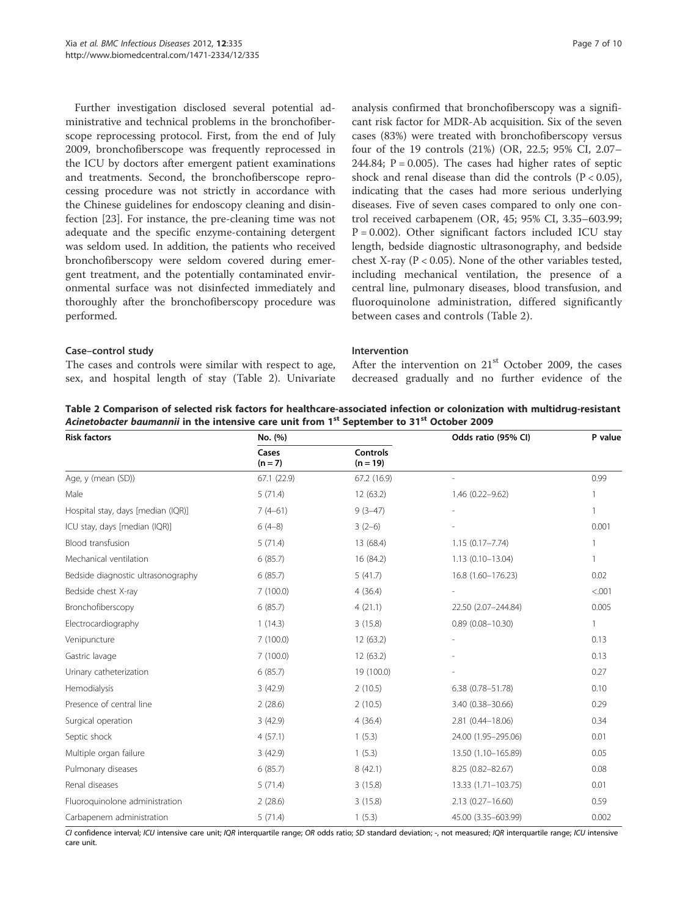Further investigation disclosed several potential administrative and technical problems in the bronchofiberscope reprocessing protocol. First, from the end of July 2009, bronchofiberscope was frequently reprocessed in the ICU by doctors after emergent patient examinations and treatments. Second, the bronchofiberscope reprocessing procedure was not strictly in accordance with the Chinese guidelines for endoscopy cleaning and disinfection [23]. For instance, the pre-cleaning time was not adequate and the specific enzyme-containing detergent was seldom used. In addition, the patients who received bronchofiberscopy were seldom covered during emergent treatment, and the potentially contaminated environmental surface was not disinfected immediately and thoroughly after the bronchofiberscopy procedure was performed.

analysis confirmed that bronchofiberscopy was a significant risk factor for MDR-Ab acquisition. Six of the seven cases (83%) were treated with bronchofiberscopy versus four of the 19 controls (21%) (OR, 22.5; 95% CI, 2.07– 244.84;  $P = 0.005$ ). The cases had higher rates of septic shock and renal disease than did the controls  $(P < 0.05)$ , indicating that the cases had more serious underlying diseases. Five of seven cases compared to only one control received carbapenem (OR, 45; 95% CI, 3.35–603.99;  $P = 0.002$ ). Other significant factors included ICU stay length, bedside diagnostic ultrasonography, and bedside chest X-ray ( $P < 0.05$ ). None of the other variables tested, including mechanical ventilation, the presence of a central line, pulmonary diseases, blood transfusion, and fluoroquinolone administration, differed significantly between cases and controls (Table 2).

#### Case–control study

The cases and controls were similar with respect to age, sex, and hospital length of stay (Table 2). Univariate

#### Intervention

After the intervention on 21<sup>st</sup> October 2009, the cases decreased gradually and no further evidence of the

Table 2 Comparison of selected risk factors for healthcare-associated infection or colonization with multidrug-resistant Acinetobacter baumannii in the intensive care unit from 1<sup>st</sup> September to 31<sup>st</sup> October 2009

| <b>Risk factors</b>                | No. (%)            |                               | Odds ratio (95% CI)  | P value      |  |
|------------------------------------|--------------------|-------------------------------|----------------------|--------------|--|
|                                    | Cases<br>$(n = 7)$ | <b>Controls</b><br>$(n = 19)$ |                      |              |  |
| Age, y (mean (SD))                 | 67.1(22.9)         | 67.2 (16.9)                   |                      | 0.99         |  |
| Male                               | 5(71.4)            | 12(63.2)                      | 1.46 (0.22-9.62)     |              |  |
| Hospital stay, days [median (IQR)] | $7(4-61)$          | $9(3-47)$                     |                      | $\mathbf{1}$ |  |
| ICU stay, days [median (IQR)]      | $6(4-8)$           | $3(2-6)$                      |                      | 0.001        |  |
| Blood transfusion                  | 5(71.4)            | 13 (68.4)                     | $1.15(0.17 - 7.74)$  | 1            |  |
| Mechanical ventilation             | 6(85.7)            | 16 (84.2)                     | $1.13(0.10 - 13.04)$ | $\mathbf{1}$ |  |
| Bedside diagnostic ultrasonography | 6(85.7)            | 5(41.7)                       | 16.8 (1.60-176.23)   | 0.02         |  |
| Bedside chest X-ray                | 7(100.0)           | 4(36.4)                       |                      | < .001       |  |
| Bronchofiberscopy                  | 6(85.7)            | 4(21.1)                       | 22.50 (2.07-244.84)  | 0.005        |  |
| Electrocardiography                | 1(14.3)            | 3(15.8)                       | $0.89(0.08 - 10.30)$ | $\mathbf{1}$ |  |
| Venipuncture                       | 7(100.0)           | 12 (63.2)                     |                      | 0.13         |  |
| Gastric lavage                     | 7(100.0)           | 12 (63.2)                     |                      | 0.13         |  |
| Urinary catheterization            | 6(85.7)            | 19 (100.0)                    |                      | 0.27         |  |
| Hemodialysis                       | 3(42.9)            | 2(10.5)                       | 6.38 (0.78-51.78)    | 0.10         |  |
| Presence of central line           | 2(28.6)            | 2(10.5)                       | 3.40 (0.38-30.66)    | 0.29         |  |
| Surgical operation                 | 3(42.9)            | 4(36.4)                       | 2.81 (0.44-18.06)    | 0.34         |  |
| Septic shock                       | 4(57.1)            | 1(5.3)                        | 24.00 (1.95-295.06)  | 0.01         |  |
| Multiple organ failure             | 3(42.9)            | 1(5.3)                        | 13.50 (1.10-165.89)  | 0.05         |  |
| Pulmonary diseases                 | 6(85.7)            | 8(42.1)                       | 8.25 (0.82-82.67)    | 0.08         |  |
| Renal diseases                     | 5(71.4)            | 3(15.8)                       | 13.33 (1.71-103.75)  | 0.01         |  |
| Fluoroquinolone administration     | 2(28.6)            | 3(15.8)                       | $2.13(0.27 - 16.60)$ | 0.59         |  |
| Carbapenem administration          | 5(71.4)            | 1(5.3)                        | 45.00 (3.35-603.99)  | 0.002        |  |

CI confidence interval; ICU intensive care unit; IQR interquartile range; OR odds ratio; SD standard deviation; -, not measured; IQR interquartile range; ICU intensive care unit.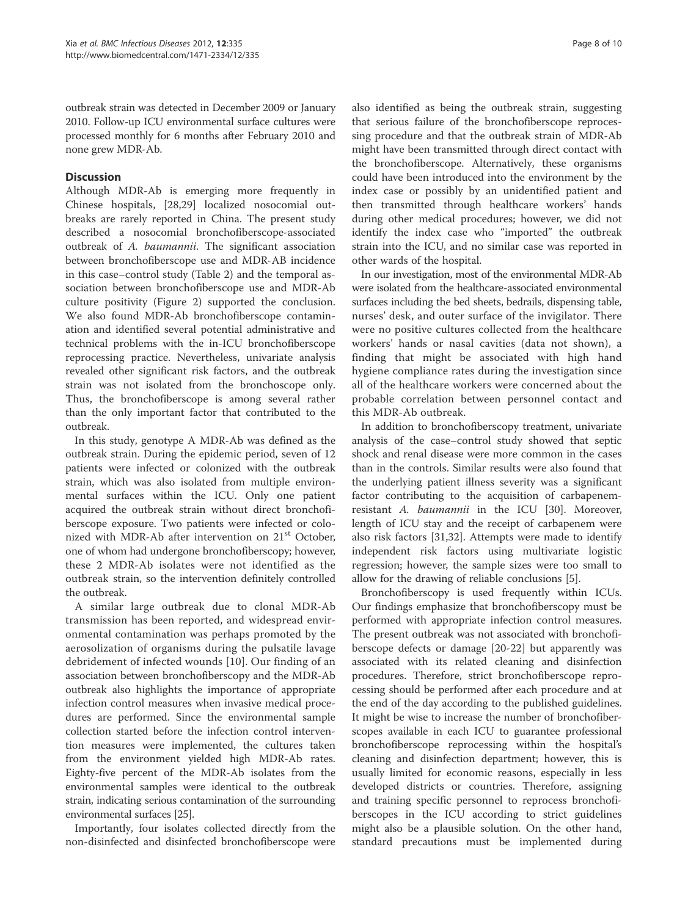outbreak strain was detected in December 2009 or January 2010. Follow-up ICU environmental surface cultures were processed monthly for 6 months after February 2010 and none grew MDR-Ab.

# **Discussion**

Although MDR-Ab is emerging more frequently in Chinese hospitals, [28,29] localized nosocomial outbreaks are rarely reported in China. The present study described a nosocomial bronchofiberscope-associated outbreak of A. baumannii. The significant association between bronchofiberscope use and MDR-AB incidence in this case–control study (Table 2) and the temporal association between bronchofiberscope use and MDR-Ab culture positivity (Figure 2) supported the conclusion. We also found MDR-Ab bronchofiberscope contamination and identified several potential administrative and technical problems with the in-ICU bronchofiberscope reprocessing practice. Nevertheless, univariate analysis revealed other significant risk factors, and the outbreak strain was not isolated from the bronchoscope only. Thus, the bronchofiberscope is among several rather than the only important factor that contributed to the outbreak.

In this study, genotype A MDR-Ab was defined as the outbreak strain. During the epidemic period, seven of 12 patients were infected or colonized with the outbreak strain, which was also isolated from multiple environmental surfaces within the ICU. Only one patient acquired the outbreak strain without direct bronchofiberscope exposure. Two patients were infected or colonized with MDR-Ab after intervention on 21<sup>st</sup> October, one of whom had undergone bronchofiberscopy; however, these 2 MDR-Ab isolates were not identified as the outbreak strain, so the intervention definitely controlled the outbreak.

A similar large outbreak due to clonal MDR-Ab transmission has been reported, and widespread environmental contamination was perhaps promoted by the aerosolization of organisms during the pulsatile lavage debridement of infected wounds [10]. Our finding of an association between bronchofiberscopy and the MDR-Ab outbreak also highlights the importance of appropriate infection control measures when invasive medical procedures are performed. Since the environmental sample collection started before the infection control intervention measures were implemented, the cultures taken from the environment yielded high MDR-Ab rates. Eighty-five percent of the MDR-Ab isolates from the environmental samples were identical to the outbreak strain, indicating serious contamination of the surrounding environmental surfaces [25].

Importantly, four isolates collected directly from the non-disinfected and disinfected bronchofiberscope were

also identified as being the outbreak strain, suggesting that serious failure of the bronchofiberscope reprocessing procedure and that the outbreak strain of MDR-Ab might have been transmitted through direct contact with the bronchofiberscope. Alternatively, these organisms could have been introduced into the environment by the index case or possibly by an unidentified patient and then transmitted through healthcare workers' hands during other medical procedures; however, we did not identify the index case who "imported" the outbreak strain into the ICU, and no similar case was reported in other wards of the hospital.

In our investigation, most of the environmental MDR-Ab were isolated from the healthcare-associated environmental surfaces including the bed sheets, bedrails, dispensing table, nurses' desk, and outer surface of the invigilator. There were no positive cultures collected from the healthcare workers' hands or nasal cavities (data not shown), a finding that might be associated with high hand hygiene compliance rates during the investigation since all of the healthcare workers were concerned about the probable correlation between personnel contact and this MDR-Ab outbreak.

In addition to bronchofiberscopy treatment, univariate analysis of the case–control study showed that septic shock and renal disease were more common in the cases than in the controls. Similar results were also found that the underlying patient illness severity was a significant factor contributing to the acquisition of carbapenemresistant A. baumannii in the ICU [30]. Moreover, length of ICU stay and the receipt of carbapenem were also risk factors [31,32]. Attempts were made to identify independent risk factors using multivariate logistic regression; however, the sample sizes were too small to allow for the drawing of reliable conclusions [5].

Bronchofiberscopy is used frequently within ICUs. Our findings emphasize that bronchofiberscopy must be performed with appropriate infection control measures. The present outbreak was not associated with bronchofiberscope defects or damage [20-22] but apparently was associated with its related cleaning and disinfection procedures. Therefore, strict bronchofiberscope reprocessing should be performed after each procedure and at the end of the day according to the published guidelines. It might be wise to increase the number of bronchofiberscopes available in each ICU to guarantee professional bronchofiberscope reprocessing within the hospital's cleaning and disinfection department; however, this is usually limited for economic reasons, especially in less developed districts or countries. Therefore, assigning and training specific personnel to reprocess bronchofiberscopes in the ICU according to strict guidelines might also be a plausible solution. On the other hand, standard precautions must be implemented during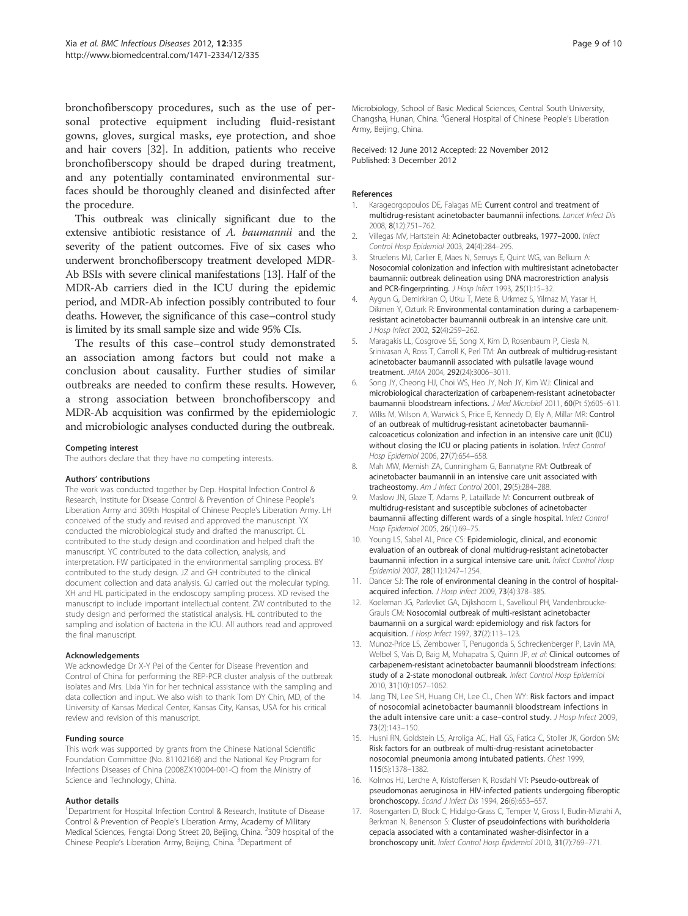bronchofiberscopy procedures, such as the use of personal protective equipment including fluid-resistant gowns, gloves, surgical masks, eye protection, and shoe and hair covers [32]. In addition, patients who receive bronchofiberscopy should be draped during treatment, and any potentially contaminated environmental surfaces should be thoroughly cleaned and disinfected after the procedure.

This outbreak was clinically significant due to the extensive antibiotic resistance of A. baumannii and the severity of the patient outcomes. Five of six cases who underwent bronchofiberscopy treatment developed MDR-Ab BSIs with severe clinical manifestations [13]. Half of the MDR-Ab carriers died in the ICU during the epidemic period, and MDR-Ab infection possibly contributed to four deaths. However, the significance of this case–control study is limited by its small sample size and wide 95% CIs.

The results of this case–control study demonstrated an association among factors but could not make a conclusion about causality. Further studies of similar outbreaks are needed to confirm these results. However, a strong association between bronchofiberscopy and MDR-Ab acquisition was confirmed by the epidemiologic and microbiologic analyses conducted during the outbreak.

#### Competing interest

The authors declare that they have no competing interests.

#### Authors' contributions

The work was conducted together by Dep. Hospital Infection Control & Research, Institute for Disease Control & Prevention of Chinese People's Liberation Army and 309th Hospital of Chinese People's Liberation Army. LH conceived of the study and revised and approved the manuscript. YX conducted the microbiological study and drafted the manuscript. CL contributed to the study design and coordination and helped draft the manuscript. YC contributed to the data collection, analysis, and interpretation. FW participated in the environmental sampling process. BY contributed to the study design. JZ and GH contributed to the clinical document collection and data analysis. GJ carried out the molecular typing. XH and HL participated in the endoscopy sampling process. XD revised the manuscript to include important intellectual content. ZW contributed to the study design and performed the statistical analysis. HL contributed to the sampling and isolation of bacteria in the ICU. All authors read and approved the final manuscript.

#### Acknowledgements

We acknowledge Dr X-Y Pei of the Center for Disease Prevention and Control of China for performing the REP-PCR cluster analysis of the outbreak isolates and Mrs. Lixia Yin for her technical assistance with the sampling and data collection and input. We also wish to thank Tom DY Chin, MD, of the University of Kansas Medical Center, Kansas City, Kansas, USA for his critical review and revision of this manuscript.

#### Funding source

This work was supported by grants from the Chinese National Scientific Foundation Committee (No. 81102168) and the National Key Program for Infections Diseases of China (2008ZX10004-001-C) from the Ministry of Science and Technology, China.

#### Author details

<sup>1</sup>Department for Hospital Infection Control & Research, Institute of Disease Control & Prevention of People's Liberation Army, Academy of Military Medical Sciences, Fengtai Dong Street 20, Beijing, China. <sup>2</sup>309 hospital of the Chinese People's Liberation Army, Beijing, China. <sup>3</sup>Department of

Microbiology, School of Basic Medical Sciences, Central South University, Changsha, Hunan, China. <sup>4</sup>General Hospital of Chinese People's Liberation Army, Beijing, China.

Received: 12 June 2012 Accepted: 22 November 2012 Published: 3 December 2012

#### References

- 1. Karageorgopoulos DE, Falagas ME: Current control and treatment of multidrug-resistant acinetobacter baumannii infections. Lancet Infect Dis 2008, 8(12):751–762.
- Villegas MV, Hartstein AI: Acinetobacter outbreaks, 1977–2000. Infect Control Hosp Epidemiol 2003, 24(4):284–295.
- 3. Struelens MJ, Carlier E, Maes N, Serruys E, Quint WG, van Belkum A: Nosocomial colonization and infection with multiresistant acinetobacter baumannii: outbreak delineation using DNA macrorestriction analysis and PCR-fingerprinting. J Hosp Infect 1993, 25(1):15-32.
- 4. Aygun G, Demirkiran O, Utku T, Mete B, Urkmez S, Yilmaz M, Yasar H, Dikmen Y, Ozturk R: Environmental contamination during a carbapenemresistant acinetobacter baumannii outbreak in an intensive care unit. J Hosp Infect 2002, 52(4):259–262.
- 5. Maragakis LL, Cosgrove SE, Song X, Kim D, Rosenbaum P, Ciesla N, Srinivasan A, Ross T, Carroll K, Perl TM: An outbreak of multidrug-resistant acinetobacter baumannii associated with pulsatile lavage wound treatment. JAMA 2004, 292(24):3006–3011.
- 6. Song JY, Cheong HJ, Choi WS, Heo JY, Noh JY, Kim WJ: Clinical and microbiological characterization of carbapenem-resistant acinetobacter baumannii bloodstream infections. J Med Microbiol 2011, 60(Pt 5):605–611.
- 7. Wilks M, Wilson A, Warwick S, Price E, Kennedy D, Ely A, Millar MR: Control of an outbreak of multidrug-resistant acinetobacter baumanniicalcoaceticus colonization and infection in an intensive care unit (ICU) without closing the ICU or placing patients in isolation. Infect Control Hosp Epidemiol 2006, 27(7):654–658.
- 8. Mah MW, Memish ZA, Cunningham G, Bannatyne RM: Outbreak of acinetobacter baumannii in an intensive care unit associated with tracheostomy. Am J Infect Control 2001, 29(5):284–288.
- 9. Maslow JN, Glaze T, Adams P, Lataillade M: Concurrent outbreak of multidrug-resistant and susceptible subclones of acinetobacter baumannii affecting different wards of a single hospital. Infect Control Hosp Epidemiol 2005, 26(1):69–75.
- 10. Young LS, Sabel AL, Price CS: Epidemiologic, clinical, and economic evaluation of an outbreak of clonal multidrug-resistant acinetobacter baumannii infection in a surgical intensive care unit. Infect Control Hosp Epidemiol 2007, 28(11):1247–1254.
- 11. Dancer SJ: The role of environmental cleaning in the control of hospitalacquired infection. J Hosp Infect 2009, 73(4):378-385.
- 12. Koeleman JG, Parlevliet GA, Dijkshoorn L, Savelkoul PH, Vandenbroucke-Grauls CM: Nosocomial outbreak of multi-resistant acinetobacter baumannii on a surgical ward: epidemiology and risk factors for acquisition. J Hosp Infect 1997, 37(2):113–123.
- 13. Munoz-Price LS, Zembower T, Penugonda S, Schreckenberger P, Lavin MA, Welbel S, Vais D, Baig M, Mohapatra S, Quinn JP, et al: Clinical outcomes of carbapenem-resistant acinetobacter baumannii bloodstream infections: study of a 2-state monoclonal outbreak. Infect Control Hosp Epidemiol 2010, 31(10):1057–1062.
- 14. Jang TN, Lee SH, Huang CH, Lee CL, Chen WY: Risk factors and impact of nosocomial acinetobacter baumannii bloodstream infections in the adult intensive care unit: a case-control study. J Hosp Infect 2009, 73(2):143–150.
- 15. Husni RN, Goldstein LS, Arroliga AC, Hall GS, Fatica C, Stoller JK, Gordon SM: Risk factors for an outbreak of multi-drug-resistant acinetobacter nosocomial pneumonia among intubated patients. Chest 1999, 115(5):1378–1382.
- 16. Kolmos HJ, Lerche A, Kristoffersen K, Rosdahl VT: Pseudo-outbreak of pseudomonas aeruginosa in HIV-infected patients undergoing fiberoptic bronchoscopy. Scand J Infect Dis 1994, 26(6):653–657.
- 17. Rosengarten D, Block C, Hidalgo-Grass C, Temper V, Gross I, Budin-Mizrahi A, Berkman N, Benenson S: Cluster of pseudoinfections with burkholderia cepacia associated with a contaminated washer-disinfector in a bronchoscopy unit. Infect Control Hosp Epidemiol 2010, 31(7):769–771.